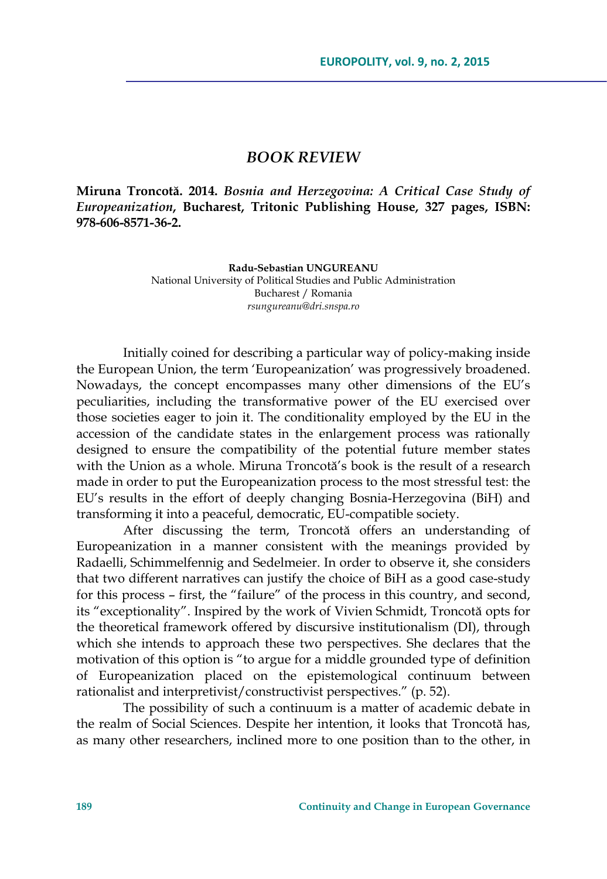## *BOOK REVIEW*

**Miruna Troncotă. 2014.** *Bosnia and Herzegovina: A Critical Case Study of Europeanization***, Bucharest, Tritonic Publishing House, 327 pages, ISBN: 978-606-8571-36-2.** 

> **Radu-Sebastian UNGUREANU**  National University of Political Studies and Public Administration Bucharest / Romania

> > *rsungureanu@dri.snspa.ro*

Initially coined for describing a particular way of policy-making inside the European Union, the term 'Europeanization' was progressively broadened. Nowadays, the concept encompasses many other dimensions of the EU's peculiarities, including the transformative power of the EU exercised over those societies eager to join it. The conditionality employed by the EU in the accession of the candidate states in the enlargement process was rationally designed to ensure the compatibility of the potential future member states with the Union as a whole. Miruna Troncotă's book is the result of a research made in order to put the Europeanization process to the most stressful test: the EU's results in the effort of deeply changing Bosnia-Herzegovina (BiH) and transforming it into a peaceful, democratic, EU-compatible society.

After discussing the term, Troncotă offers an understanding of Europeanization in a manner consistent with the meanings provided by Radaelli, Schimmelfennig and Sedelmeier. In order to observe it, she considers that two different narratives can justify the choice of BiH as a good case-study for this process – first, the "failure" of the process in this country, and second, its "exceptionality". Inspired by the work of Vivien Schmidt, Troncotă opts for the theoretical framework offered by discursive institutionalism (DI), through which she intends to approach these two perspectives. She declares that the motivation of this option is "to argue for a middle grounded type of definition of Europeanization placed on the epistemological continuum between rationalist and interpretivist/constructivist perspectives." (p. 52).

The possibility of such a continuum is a matter of academic debate in the realm of Social Sciences. Despite her intention, it looks that Troncotă has, as many other researchers, inclined more to one position than to the other, in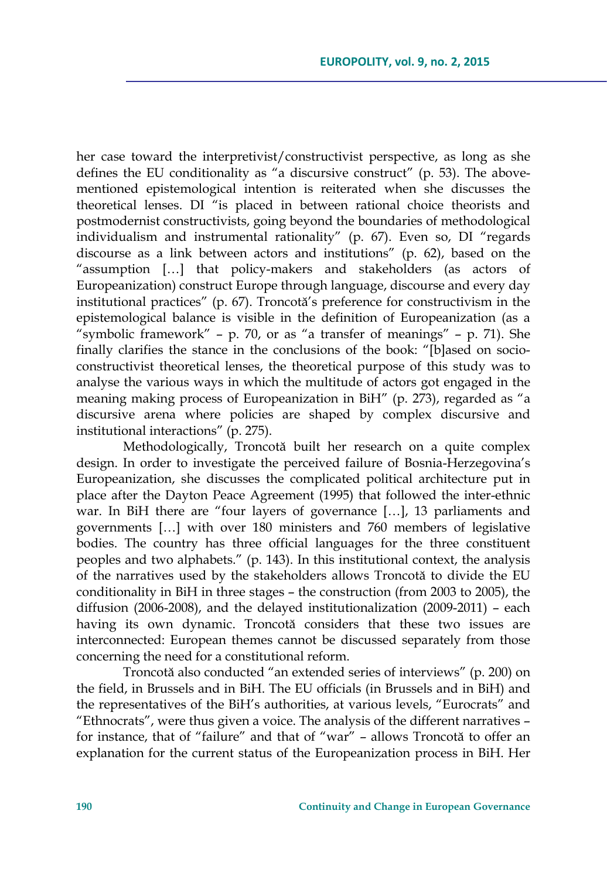her case toward the interpretivist/constructivist perspective, as long as she defines the EU conditionality as "a discursive construct" (p. 53). The abovementioned epistemological intention is reiterated when she discusses the theoretical lenses. DI "is placed in between rational choice theorists and postmodernist constructivists, going beyond the boundaries of methodological individualism and instrumental rationality" (p. 67). Even so, DI "regards discourse as a link between actors and institutions" (p. 62), based on the "assumption […] that policy-makers and stakeholders (as actors of Europeanization) construct Europe through language, discourse and every day institutional practices" (p. 67). Troncotă's preference for constructivism in the epistemological balance is visible in the definition of Europeanization (as a "symbolic framework" – p. 70, or as "a transfer of meanings" – p. 71). She finally clarifies the stance in the conclusions of the book: "[b]ased on socioconstructivist theoretical lenses, the theoretical purpose of this study was to analyse the various ways in which the multitude of actors got engaged in the meaning making process of Europeanization in BiH" (p. 273), regarded as "a discursive arena where policies are shaped by complex discursive and institutional interactions" (p. 275).

Methodologically, Troncotă built her research on a quite complex design. In order to investigate the perceived failure of Bosnia-Herzegovina's Europeanization, she discusses the complicated political architecture put in place after the Dayton Peace Agreement (1995) that followed the inter-ethnic war. In BiH there are "four layers of governance […], 13 parliaments and governments […] with over 180 ministers and 760 members of legislative bodies. The country has three official languages for the three constituent peoples and two alphabets." (p. 143). In this institutional context, the analysis of the narratives used by the stakeholders allows Troncotă to divide the EU conditionality in BiH in three stages – the construction (from 2003 to 2005), the diffusion (2006-2008), and the delayed institutionalization (2009-2011) – each having its own dynamic. Troncotă considers that these two issues are interconnected: European themes cannot be discussed separately from those concerning the need for a constitutional reform.

Troncotă also conducted "an extended series of interviews" (p. 200) on the field, in Brussels and in BiH. The EU officials (in Brussels and in BiH) and the representatives of the BiH's authorities, at various levels, "Eurocrats" and "Ethnocrats", were thus given a voice. The analysis of the different narratives – for instance, that of "failure" and that of "war" – allows Troncotă to offer an explanation for the current status of the Europeanization process in BiH. Her